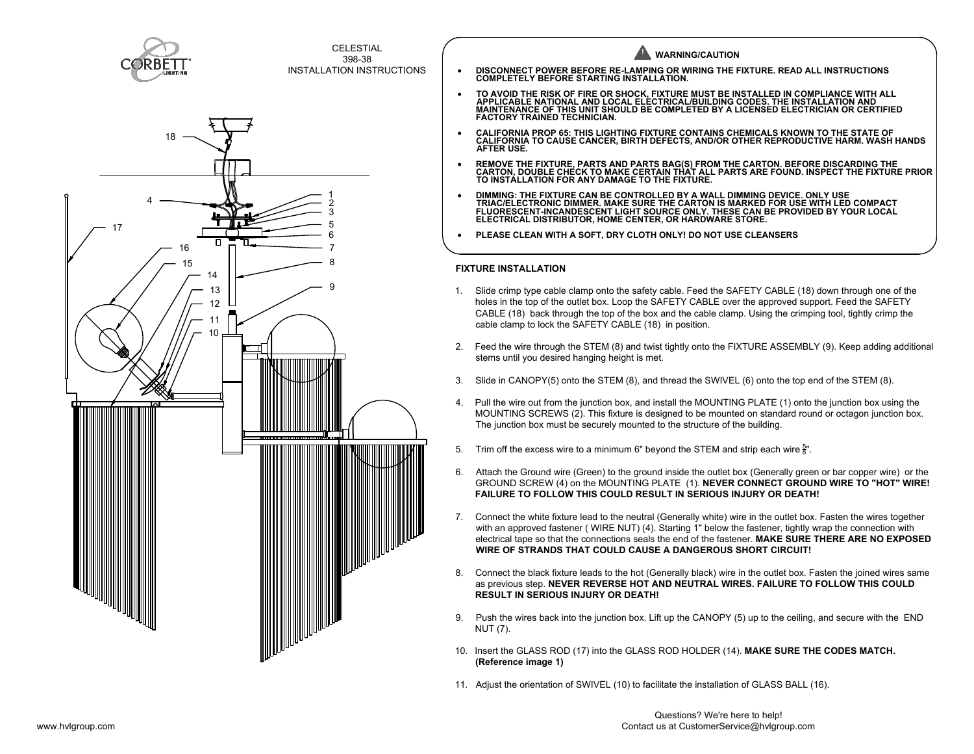



CELESTIAL 398-38 INSTALLATION INSTRUCTIONS  **FIXTURE INSTALLATION** 1. Slide crimp type cable clamp onto the safety cable. Feed the SAFETY CABLE (18) down through one of the **WARNING/CAUTION** · **DISCONNECT POWER BEFORE RE-LAMPING OR WIRING THE FIXTURE. READ ALL INSTRUCTIONS COMPLETELY BEFORE STARTING INSTALLATION.** • TO AVOID THE RISK OF FIRE OR SHOCK, FIXTURE MUST BE INSTALLED IN COMPLIANCE WITH ALL<br> APPLICABLE NATIONAL AND LOCAL ELECTRICAL/BUILDING CODES. THE INSTALLATION AND<br> MAINTENANCE OF THIS UNIT SHOULD BE C **FACTORY TRAINED TECHNICIAN.** · **CALIFORNIA PROP 65: THIS LIGHTING FIXTURE CONTAINS CHEMICALS KNOWN TO THE STATE OF CALIFORNIA TO CAUSE CANCER, BIRTH DEFECTS, AND/OR OTHER REPRODUCTIVE HARM. WASH HANDS AFTER USE.** • REMOVE THE FIXTURE, PARTS AND PARTS BAG(S) FROM THE CARTON. BEFORE DISCARDING THE<br> CARTON, DOUBLE CHECK TO MAKE CERTAIN THAT ALL PARTS ARE FOUND. INSPECT THE FIXTURE PRIOR<br> TO INSTALLATION FOR ANY DAMAGE TO THE F · **DIMMING: THE FIXTURE CAN BE CONTROLLED BY A WALL DIMMING DEVICE. ONLY USE TRIAC/ELECTRONIC DIMMER. MAKE SURE THE CARTON IS MARKED FOR USE WITH LED COMPACT FLUORESCENT-INCANDESCENT LIGHT SOURCE ONLY. THESE CAN BE PROVIDED BY YOUR LOCAL ELECTRICAL DISTRIBUTOR, HOME CENTER, OR HARDWARE STORE.** · **PLEASE CLEAN WITH A SOFT, DRY CLOTH ONLY! DO NOT USE CLEANSERS**

- holes in the top of the outlet box. Loop the SAFETY CABLE over the approved support. Feed the SAFETY CABLE (18) back through the top of the box and the cable clamp. Using the crimping tool, tightly crimp the cable clamp to lock the SAFETY CABLE (18) in position.
- 2. Feed the wire through the STEM (8) and twist tightly onto the FIXTURE ASSEMBLY (9). Keep adding additional stems until you desired hanging height is met.
- 3. Slide in CANOPY(5) onto the STEM (8), and thread the SWIVEL (6) onto the top end of the STEM (8).
- 4. Pull the wire out from the junction box, and install the MOUNTING PLATE (1) onto the junction box using the MOUNTING SCREWS (2). This fixture is designed to be mounted on standard round or octagon junction box. The junction box must be securely mounted to the structure of the building.
- 5.  $\;$  Trim off the excess wire to a minimum 6" beyond the STEM and strip each wire  $_8^{\rm{5}}$ ". 8
- 6. Attach the Ground wire (Green) to the ground inside the outlet box (Generally green or bar copper wire) or the GROUND SCREW (4) on the MOUNTING PLATE (1). **NEVER CONNECT GROUND WIRE TO "HOT" WIRE! FAILURE TO FOLLOW THIS COULD RESULT IN SERIOUS INJURY OR DEATH!**
- 7. Connect the white fixture lead to the neutral (Generally white) wire in the outlet box. Fasten the wires together with an approved fastener ( WIRE NUT) (4). Starting 1" below the fastener, tightly wrap the connection with electrical tape so that the connections seals the end of the fastener. **MAKE SURE THERE ARE NO EXPOSED WIRE OF STRANDS THAT COULD CAUSE A DANGEROUS SHORT CIRCUIT!**
- 8. Connect the black fixture leads to the hot (Generally black) wire in the outlet box. Fasten the joined wires same as previous step. **NEVER REVERSE HOT AND NEUTRAL WIRES. FAILURE TO FOLLOW THIS COULD RESULT IN SERIOUS INJURY OR DEATH!**
- 9. Push the wires back into the junction box. Lift up the CANOPY (5) up to the ceiling, and secure with the END NUT (7).
- 10. Insert the GLASS ROD (17) into the GLASS ROD HOLDER (14). **MAKE SURE THE CODES MATCH. (Reference image 1)**
- 11. Adjust the orientation of SWIVEL (10) to facilitate the installation of GLASS BALL (16).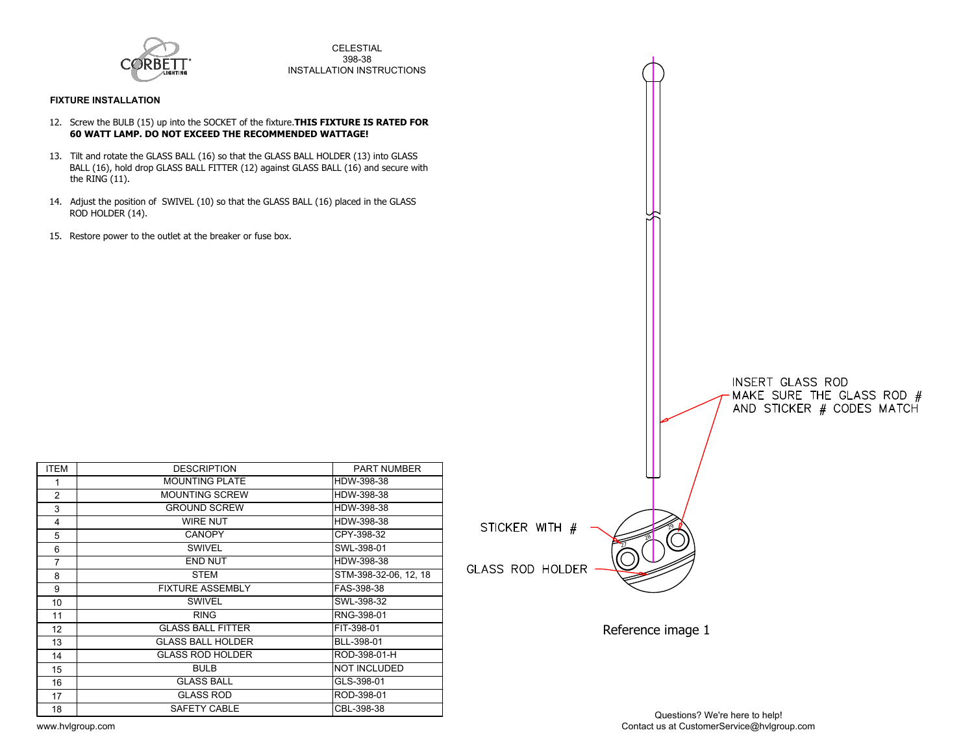

CELESTIAL 398-38 INSTALLATION INSTRUCTIONS

## **FIXTURE INSTALLATION**

- 12. Screw the BULB (15) up into the SOCKET of the fixture.**THIS FIXTURE IS RATED FOR 60 WATT LAMP. DO NOT EXCEED THE RECOMMENDED WATTAGE!**
- 13. Tilt and rotate the GLASS BALL (16) so that the GLASS BALL HOLDER (13) into GLASS BALL (16), hold drop GLASS BALL FITTER (12) against GLASS BALL (16) and secure with the RING (11).
- 14. Adjust the position of SWIVEL (10) so that the GLASS BALL (16) placed in the GLASS ROD HOLDER (14).
- 15. Restore power to the outlet at the breaker or fuse box.

| <b>ITEM</b>     | <b>DESCRIPTION</b>       | <b>PART NUMBER</b>    |                |
|-----------------|--------------------------|-----------------------|----------------|
| 1               | <b>MOUNTING PLATE</b>    | HDW-398-38            |                |
| 2               | <b>MOUNTING SCREW</b>    | HDW-398-38            |                |
| 3               | <b>GROUND SCREW</b>      | HDW-398-38            |                |
| 4               | <b>WIRE NUT</b>          | HDW-398-38            | <b>STICKER</b> |
| 5               | <b>CANOPY</b>            | CPY-398-32            |                |
| 6               | <b>SWIVEL</b>            | SWL-398-01            |                |
| $\overline{7}$  | <b>END NUT</b>           | HDW-398-38            |                |
| 8               | <b>STEM</b>              | STM-398-32-06, 12, 18 | GLASS RO       |
| 9               | <b>FIXTURE ASSEMBLY</b>  | FAS-398-38            |                |
| 10              | <b>SWIVEL</b>            | SWL-398-32            |                |
| 11              | <b>RING</b>              | RNG-398-01            |                |
| 12 <sup>2</sup> | <b>GLASS BALL FITTER</b> | FIT-398-01            |                |
| 13              | <b>GLASS BALL HOLDER</b> | BLL-398-01            |                |
| 14              | <b>GLASS ROD HOLDER</b>  | ROD-398-01-H          |                |
| 15              | <b>BULB</b>              | <b>NOT INCLUDED</b>   |                |
| 16              | <b>GLASS BALL</b>        | GLS-398-01            |                |
| 17              | <b>GLASS ROD</b>         | ROD-398-01            |                |
| 18              | SAFETY CABLE             | CBL-398-38            |                |



Reference image 1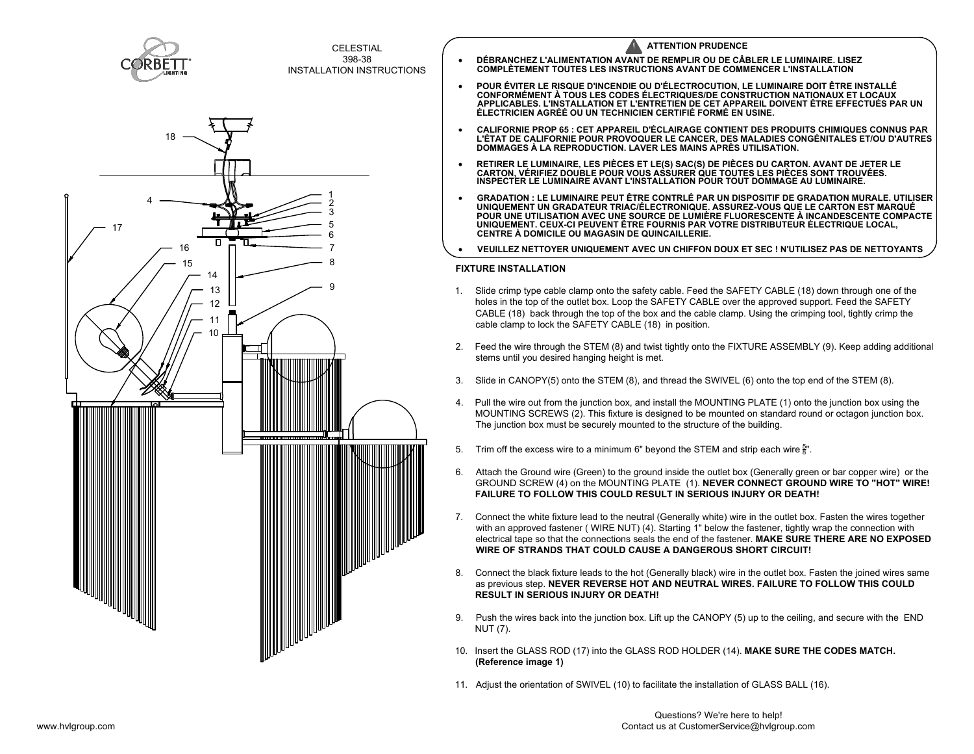



- **COMPLÈTEMENT TOUTES LES INSTRUCTIONS AVANT DE COMMENCER L'INSTALLATION**
- · **POUR ÉVITER LE RISQUE D'INCENDIE OU D'ÉLECTROCUTION, LE LUMINAIRE DOIT ÊTRE INSTALLÉ CONFORMÉMENT À TOUS LES CODES ÉLECTRIQUES/DE CONSTRUCTION NATIONAUX ET LOCAUX APPLICABLES. L'INSTALLATION ET L'ENTRETIEN DE CET APPAREIL DOIVENT ÊTRE EFFECTUÉS PAR UN ÉLECTRICIEN AGRÉÉ OU UN TECHNICIEN CERTIFIÉ FORMÉ EN USINE.**
- · **CALIFORNIE PROP 65 : CET APPAREIL D'ÉCLAIRAGE CONTIENT DES PRODUITS CHIMIQUES CONNUS PAR** L'ÉTAT DE CALIFORNIE POUR PROVOQUER LE CANCER, DES MALADIES CONGÉNITALES ET/OU D'AUTRES │<br>DOMMAGES À LA REPRODUCTION. LAVER LES MAINS APRÈS UTILISATION.
- · **RETIRER LE LUMINAIRE, LES PIÈCES ET LE(S) SAC(S) DE PIÈCES DU CARTON. AVANT DE JETER LE CARTON, VÉRIFIEZ DOUBLE POUR VOUS ASSURER QUE TOUTES LES PIÈCES SONT TROUVÉES. INSPECTER LE LUMINAIRE AVANT L'INSTALLATION POUR TOUT DOMMAGE AU LUMINAIRE.**
- · **GRADATION : LE LUMINAIRE PEUT ÊTRE CONTRLÉ PAR UN DISPOSITIF DE GRADATION MURALE. UTILISER UNIQUEMENT UN GRADATEUR TRIAC/ÉLECTRONIQUE. ASSUREZ-VOUS QUE LE CARTON EST MARQUÉ POUR UNE UTILISATION AVEC UNE SOURCE DE LUMIÈRE FLUORESCENTE À INCANDESCENTE COMPACTE UNIQUEMENT. CEUX-CI PEUVENT ÊTRE FOURNIS PAR VOTRE DISTRIBUTEUR ÉLECTRIQUE LOCAL, CENTRE À DOMICILE OU MAGASIN DE QUINCAILLERIE.**
- · **VEUILLEZ NETTOYER UNIQUEMENT AVEC UN CHIFFON DOUX ET SEC ! N'UTILISEZ PAS DE NETTOYANTS**

## **FIXTURE INSTALLATION**

- 1. Slide crimp type cable clamp onto the safety cable. Feed the SAFETY CABLE (18) down through one of the holes in the top of the outlet box. Loop the SAFETY CABLE over the approved support. Feed the SAFETY CABLE (18) back through the top of the box and the cable clamp. Using the crimping tool, tightly crimp the cable clamp to lock the SAFETY CABLE (18) in position.
- 2. Feed the wire through the STEM (8) and twist tightly onto the FIXTURE ASSEMBLY (9). Keep adding additional stems until you desired hanging height is met.
- 3. Slide in CANOPY(5) onto the STEM (8), and thread the SWIVEL (6) onto the top end of the STEM (8).
- 4. Pull the wire out from the junction box, and install the MOUNTING PLATE (1) onto the junction box using the MOUNTING SCREWS (2). This fixture is designed to be mounted on standard round or octagon junction box. The junction box must be securely mounted to the structure of the building.
- 5.  $\;$  Trim off the excess wire to a minimum 6" beyond the STEM and strip each wire  $_8^{\rm{5}}$ ". 8
- 6. Attach the Ground wire (Green) to the ground inside the outlet box (Generally green or bar copper wire) or the GROUND SCREW (4) on the MOUNTING PLATE (1). **NEVER CONNECT GROUND WIRE TO "HOT" WIRE! FAILURE TO FOLLOW THIS COULD RESULT IN SERIOUS INJURY OR DEATH!**
- 7. Connect the white fixture lead to the neutral (Generally white) wire in the outlet box. Fasten the wires together with an approved fastener ( WIRE NUT) (4). Starting 1" below the fastener, tightly wrap the connection with electrical tape so that the connections seals the end of the fastener. **MAKE SURE THERE ARE NO EXPOSED WIRE OF STRANDS THAT COULD CAUSE A DANGEROUS SHORT CIRCUIT!**
- 8. Connect the black fixture leads to the hot (Generally black) wire in the outlet box. Fasten the joined wires same as previous step. **NEVER REVERSE HOT AND NEUTRAL WIRES. FAILURE TO FOLLOW THIS COULD RESULT IN SERIOUS INJURY OR DEATH!**
- 9. Push the wires back into the junction box. Lift up the CANOPY (5) up to the ceiling, and secure with the END NUT (7).
- 10. Insert the GLASS ROD (17) into the GLASS ROD HOLDER (14). **MAKE SURE THE CODES MATCH. (Reference image 1)**
- 11. Adjust the orientation of SWIVEL (10) to facilitate the installation of GLASS BALL (16).